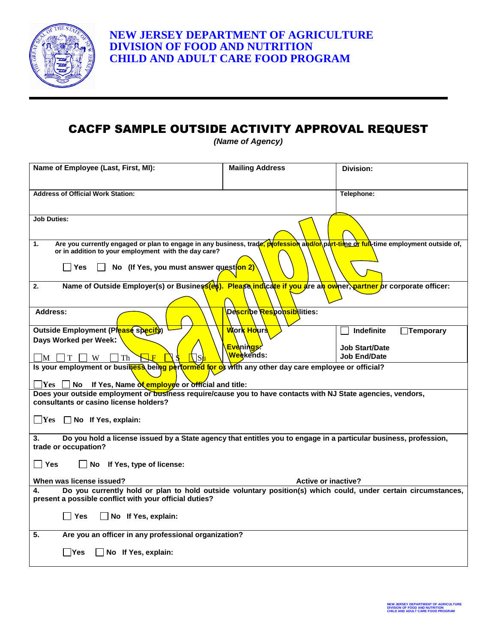

## CACFP SAMPLE OUTSIDE ACTIVITY APPROVAL REQUEST

*(Name of Agency)*

| Name of Employee (Last, First, MI):                                                                                                                                                                                                                    | <b>Mailing Address</b>                    | Division:                      |  |
|--------------------------------------------------------------------------------------------------------------------------------------------------------------------------------------------------------------------------------------------------------|-------------------------------------------|--------------------------------|--|
| <b>Address of Official Work Station:</b>                                                                                                                                                                                                               |                                           | Telephone:                     |  |
| <b>Job Duties:</b>                                                                                                                                                                                                                                     |                                           |                                |  |
| Are you currently engaged or plan to engage in any business, trade, profession and/on part-time or full-time employment outside of,<br>1.<br>or in addition to your employment with the day care?<br>No (If Yes, you must answer question 2)<br>l lYes |                                           |                                |  |
| Name of Outside Employer(s) or Business(et). Please indicate if you are an owner, partner or corporate officer:<br>2.                                                                                                                                  |                                           |                                |  |
| Address:                                                                                                                                                                                                                                               | De <mark>scri</mark> be Responsibilities: |                                |  |
| Outside Employment (Please specify)                                                                                                                                                                                                                    | Work Hours                                | Indefinite<br>$\Box$ Temporary |  |
| Days Worked per Week:                                                                                                                                                                                                                                  | Evenings:                                 | <b>Job Start/Date</b>          |  |
| W<br>Th<br>- IM-                                                                                                                                                                                                                                       | Weekends:                                 | <b>Job End/Date</b>            |  |
| Is your employment or business being performed for of with any other day care employee or official?                                                                                                                                                    |                                           |                                |  |
| If Yes, Name of employee or official and title:<br>$\bf Yes$<br>No.<br>Does your outside employment or business require/cause you to have contacts with NJ State agencies, vendors,                                                                    |                                           |                                |  |
| consultants or casino license holders?                                                                                                                                                                                                                 |                                           |                                |  |
| $\Box$ Yes $\Box$ No If Yes, explain:                                                                                                                                                                                                                  |                                           |                                |  |
| Do you hold a license issued by a State agency that entitles you to engage in a particular business, profession,<br>3.<br>trade or occupation?                                                                                                         |                                           |                                |  |
| ∣ ∣Yes<br>No If Yes, type of license:                                                                                                                                                                                                                  |                                           |                                |  |
| When was license issued?                                                                                                                                                                                                                               | <b>Active or inactive?</b>                |                                |  |
| Do you currently hold or plan to hold outside voluntary position(s) which could, under certain circumstances,<br>4.<br>present a possible conflict with your official duties?                                                                          |                                           |                                |  |
| <b>Yes</b><br>No If Yes, explain:                                                                                                                                                                                                                      |                                           |                                |  |
| 5.<br>Are you an officer in any professional organization?                                                                                                                                                                                             |                                           |                                |  |
| No If Yes, explain:<br>lYes                                                                                                                                                                                                                            |                                           |                                |  |